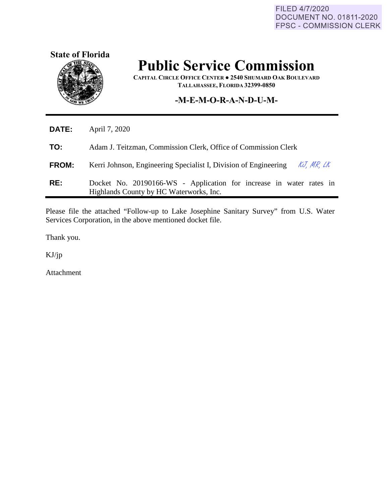FILED 4/7/2020 DOCUMENT NO. 01811-2020 FPSC - COMMISSION CLERK



## **Public Service Commission**

**CAPITAL CIRCLE OFFICE CENTER ● 2540 SHUMARD OAK BOULEVARD TALLAHASSEE, FLORIDA 32399-0850**

## **-M-E-M-O-R-A-N-D-U-M-**

| Adam J. Teitzman, Commission Clerk, Office of Commission Clerk      |  |
|---------------------------------------------------------------------|--|
| KJ, MR, LK                                                          |  |
| Docket No. 20190166-WS - Application for increase in water rates in |  |
|                                                                     |  |

Please file the attached "Follow-up to Lake Josephine Sanitary Survey" from U.S. Water Services Corporation, in the above mentioned docket file.

Thank you.

KJ/jp

Ĭ.

Attachment